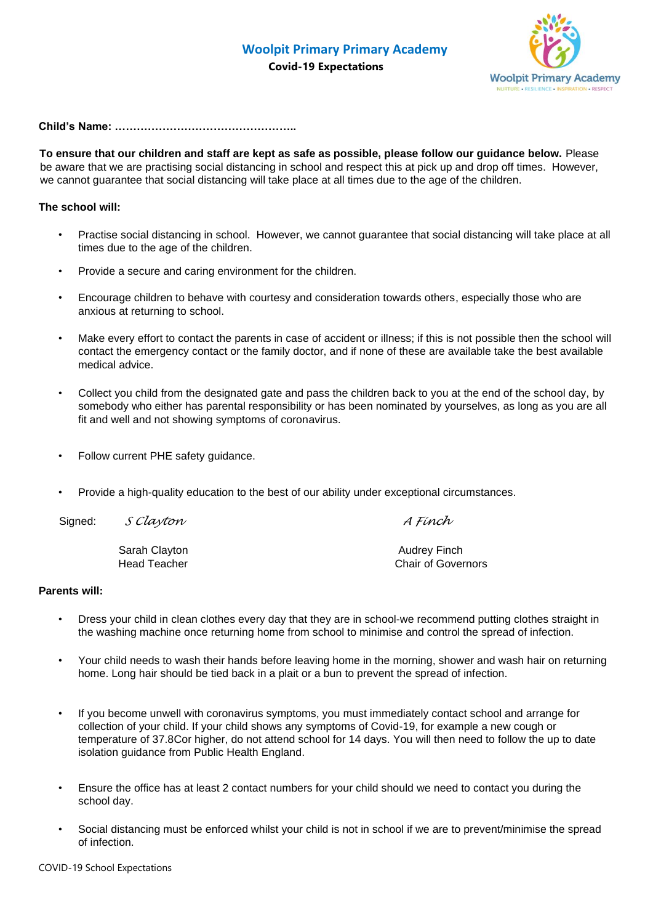**Covid-19 Expectations**



## **Child's Name: …………………………………………..**

**To ensure that our children and staff are kept as safe as possible, please follow our guidance below.** Please be aware that we are practising social distancing in school and respect this at pick up and drop off times. However, we cannot guarantee that social distancing will take place at all times due to the age of the children.

## **The school will:**

- Practise social distancing in school. However, we cannot guarantee that social distancing will take place at all times due to the age of the children.
- Provide a secure and caring environment for the children.
- Encourage children to behave with courtesy and consideration towards others, especially those who are anxious at returning to school.
- Make every effort to contact the parents in case of accident or illness; if this is not possible then the school will contact the emergency contact or the family doctor, and if none of these are available take the best available medical advice.
- Collect you child from the designated gate and pass the children back to you at the end of the school day, by somebody who either has parental responsibility or has been nominated by yourselves, as long as you are all fit and well and not showing symptoms of coronavirus.
- Follow current PHE safety guidance.
- Provide a high-quality education to the best of our ability under exceptional circumstances.

| Signed: | S Clayton           | A Fínch                   |
|---------|---------------------|---------------------------|
|         | Sarah Clayton       | Audrey Finch              |
|         | <b>Head Teacher</b> | <b>Chair of Governors</b> |

## **Parents will:**

- Dress your child in clean clothes every day that they are in school-we recommend putting clothes straight in the washing machine once returning home from school to minimise and control the spread of infection.
- Your child needs to wash their hands before leaving home in the morning, shower and wash hair on returning home. Long hair should be tied back in a plait or a bun to prevent the spread of infection.
- If you become unwell with coronavirus symptoms, you must immediately contact school and arrange for collection of your child. If your child shows any symptoms of Covid-19, for example a new cough or temperature of 37.8Cor higher, do not attend school for 14 days. You will then need to follow the up to date isolation guidance from Public Health England.
- Ensure the office has at least 2 contact numbers for your child should we need to contact you during the school day.
- Social distancing must be enforced whilst your child is not in school if we are to prevent/minimise the spread of infection.